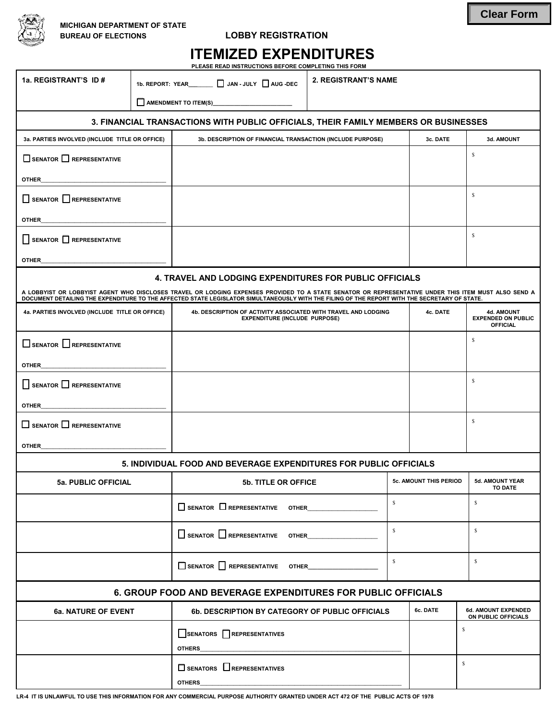

## **LOBBY REGISTRATION**

| <b>ITEMIZED EXPENDITURES</b>                         |  |  |  |  |  |  |
|------------------------------------------------------|--|--|--|--|--|--|
| BLEAGE BEAR INGEBUATIONS BEFORE COMBLETING TUIS FORM |  |  |  |  |  |  |

**PLEASE READ INSTRUCTIONS BEFORE COMPLETING THIS FORM** 

| 1a. REGISTRANT'S ID #                                                                                                                                                                                                                                                                                 | 1b. REPORT: YEAR_______ [ JAN - JULY   AUG -DEC |                                                                                                        | <b>2. REGISTRANT'S NAME</b> |                               |              |                                                                   |  |
|-------------------------------------------------------------------------------------------------------------------------------------------------------------------------------------------------------------------------------------------------------------------------------------------------------|-------------------------------------------------|--------------------------------------------------------------------------------------------------------|-----------------------------|-------------------------------|--------------|-------------------------------------------------------------------|--|
|                                                                                                                                                                                                                                                                                                       |                                                 | AMENDMENT TO ITEM(S)                                                                                   |                             |                               |              |                                                                   |  |
| 3. FINANCIAL TRANSACTIONS WITH PUBLIC OFFICIALS, THEIR FAMILY MEMBERS OR BUSINESSES                                                                                                                                                                                                                   |                                                 |                                                                                                        |                             |                               |              |                                                                   |  |
| 3a. PARTIES INVOLVED (INCLUDE TITLE OR OFFICE)                                                                                                                                                                                                                                                        |                                                 | 3b. DESCRIPTION OF FINANCIAL TRANSACTION (INCLUDE PURPOSE)                                             |                             |                               | 3c. DATE     | 3d. AMOUNT                                                        |  |
| $\Box$ SENATOR $\Box$ REPRESENTATIVE                                                                                                                                                                                                                                                                  |                                                 |                                                                                                        |                             |                               |              | S                                                                 |  |
| <b>OTHER</b>                                                                                                                                                                                                                                                                                          |                                                 |                                                                                                        |                             |                               |              |                                                                   |  |
| $\Box$ SENATOR $\Box$ REPRESENTATIVE                                                                                                                                                                                                                                                                  |                                                 |                                                                                                        |                             |                               |              | s                                                                 |  |
| <b>OTHER</b>                                                                                                                                                                                                                                                                                          |                                                 |                                                                                                        |                             |                               |              |                                                                   |  |
| SENATOR REPRESENTATIVE                                                                                                                                                                                                                                                                                |                                                 |                                                                                                        |                             |                               |              | S                                                                 |  |
| <b>OTHER</b>                                                                                                                                                                                                                                                                                          |                                                 |                                                                                                        |                             |                               |              |                                                                   |  |
| <b>4. TRAVEL AND LODGING EXPENDITURES FOR PUBLIC OFFICIALS</b>                                                                                                                                                                                                                                        |                                                 |                                                                                                        |                             |                               |              |                                                                   |  |
| A LOBBYIST OR LOBBYIST AGENT WHO DISCLOSES TRAVEL OR LODGING EXPENSES PROVIDED TO A STATE SENATOR OR REPRESENTATIVE UNDER THIS ITEM MUST ALSO SEND A<br>DOCUMENT DETAILING THE EXPENDITURE TO THE AFFECTED STATE LEGISLATOR SIMULTANEOUSLY WITH THE FILING OF THE REPORT WITH THE SECRETARY OF STATE. |                                                 |                                                                                                        |                             |                               |              |                                                                   |  |
| 4a. PARTIES INVOLVED (INCLUDE TITLE OR OFFICE)                                                                                                                                                                                                                                                        |                                                 | 4b. DESCRIPTION OF ACTIVITY ASSOCIATED WITH TRAVEL AND LODGING<br><b>EXPENDITURE (INCLUDE PURPOSE)</b> |                             |                               | 4c. DATE     | <b>4d. AMOUNT</b><br><b>EXPENDED ON PUBLIC</b><br><b>OFFICIAL</b> |  |
| $\square$ SENATOR $\square$ REPRESENTATIVE                                                                                                                                                                                                                                                            |                                                 |                                                                                                        |                             |                               |              | S                                                                 |  |
| <b>OTHER</b>                                                                                                                                                                                                                                                                                          |                                                 |                                                                                                        |                             |                               |              |                                                                   |  |
| $\Box$ SENATOR $\Box$ REPRESENTATIVE                                                                                                                                                                                                                                                                  |                                                 |                                                                                                        |                             |                               |              | s                                                                 |  |
| <b>OTHER</b>                                                                                                                                                                                                                                                                                          |                                                 |                                                                                                        |                             |                               |              |                                                                   |  |
| $\square$ SENATOR $\square$ REPRESENTATIVE                                                                                                                                                                                                                                                            |                                                 |                                                                                                        |                             |                               |              | s                                                                 |  |
| <b>OTHER</b>                                                                                                                                                                                                                                                                                          |                                                 |                                                                                                        |                             |                               |              |                                                                   |  |
| 5. INDIVIDUAL FOOD AND BEVERAGE EXPENDITURES FOR PUBLIC OFFICIALS                                                                                                                                                                                                                                     |                                                 |                                                                                                        |                             |                               |              |                                                                   |  |
| 5a. PUBLIC OFFICIAL                                                                                                                                                                                                                                                                                   |                                                 | <b>5b. TITLE OR OFFICE</b>                                                                             |                             | <b>5c. AMOUNT THIS PERIOD</b> |              | 5d. AMOUNT YEAR<br><b>TO DATE</b>                                 |  |
|                                                                                                                                                                                                                                                                                                       |                                                 | $\Box$ SENATOR $\Box$ REPRESENTATIVE OTHER                                                             | $\mathbb{S}$                |                               |              | S                                                                 |  |
|                                                                                                                                                                                                                                                                                                       |                                                 | SENATOR REPRESENTATIVE OTHER                                                                           | $\mathbb{S}$                |                               |              | S                                                                 |  |
|                                                                                                                                                                                                                                                                                                       |                                                 | $\Box$ SENATOR $\Box$ REPRESENTATIVE OTHER                                                             | $\mathbb{S}$                |                               |              | $\mathbb{S}$                                                      |  |
| <b>6. GROUP FOOD AND BEVERAGE EXPENDITURES FOR PUBLIC OFFICIALS</b>                                                                                                                                                                                                                                   |                                                 |                                                                                                        |                             |                               |              |                                                                   |  |
| 6a. NATURE OF EVENT<br>6b. DESCRIPTION BY CATEGORY OF PUBLIC OFFICIALS                                                                                                                                                                                                                                |                                                 |                                                                                                        |                             |                               | 6c. DATE     | 6d. AMOUNT EXPENDED<br>ON PUBLIC OFFICIALS                        |  |
|                                                                                                                                                                                                                                                                                                       |                                                 | SENATORS REPRESENTATIVES<br><b>OTHERS</b>                                                              |                             |                               |              | S                                                                 |  |
| $\Box$ SENATORS $\Box$ REPRESENTATIVES<br><b>OTHERS</b>                                                                                                                                                                                                                                               |                                                 |                                                                                                        |                             |                               | $\mathbb{S}$ |                                                                   |  |